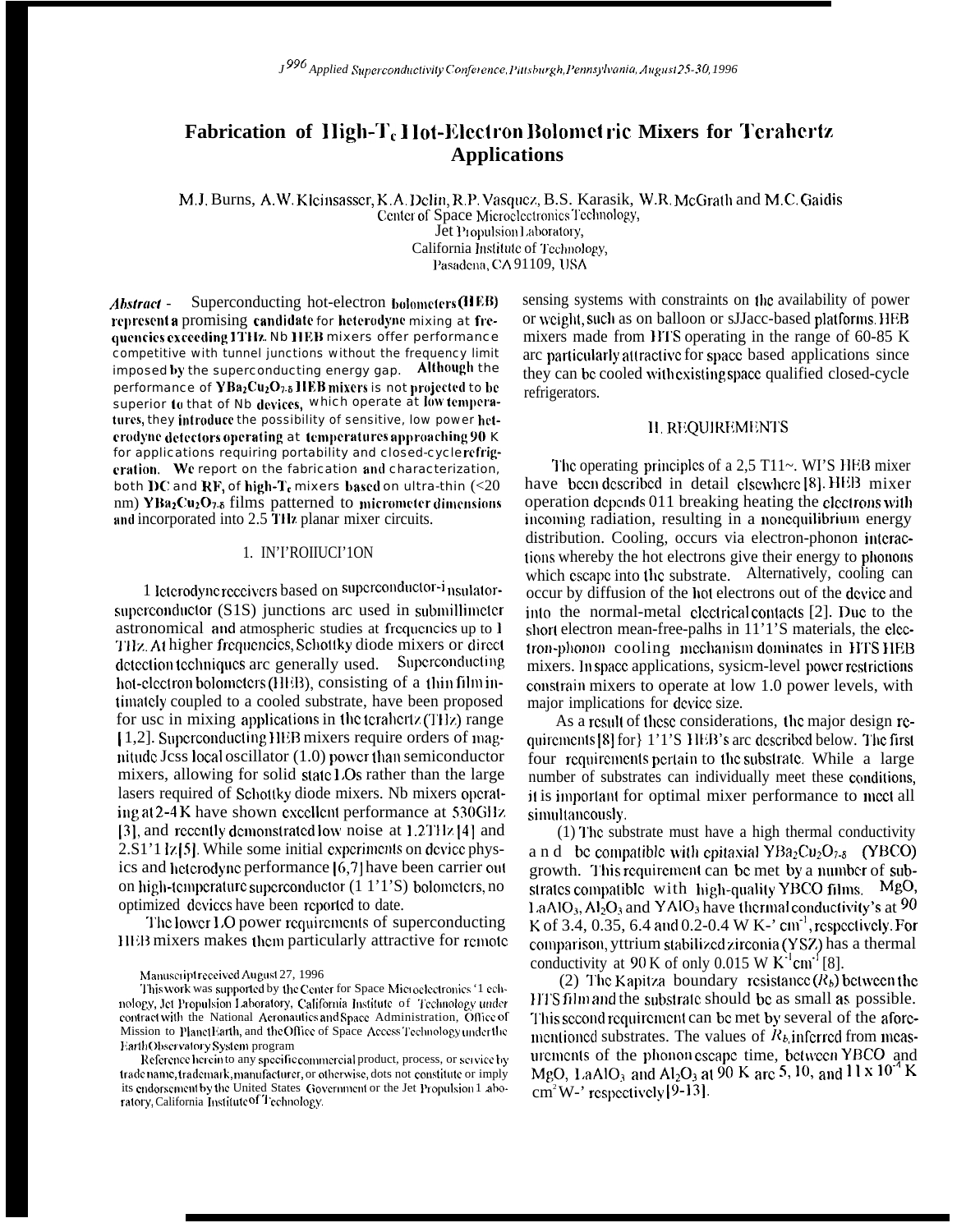# Fabrication of High-T<sub>c</sub> Hot-Electron Bolometric Mixers for Terahertz **Applications**

M.J. Burns, A.W. Kleinsasser, K.A. Delin, R.P. Vasquez, B.S. Karasik, W.R. McGrath and M.C. Gaidis Center of Space Microelectronics Technology, Jet Propulsion Laboratory, California Institute of Technology, Pasadena, CA 91109, USA

 $Abstract -$ Superconducting hot-electron bolometers (HEB) represent a promising candidate for heterodyne mixing at frequencies exceeding 1THz. Nb HEB mixers offer performance competitive with tunnel junctions without the frequency limit imposed by the superconducting energy gap. Although the performance of  $YBa_2Cu_2O_{7.5}IIEB$  mixers is not projected to be superior to that of Nb devices, which operate at low temperatures, they introduce the possibility of sensitive, low power heterodyne detectors operating at temperatures approaching 90 K for applications requiring portability and closed-cyclerefrigeration. We report on the fabrication and characterization, both DC and RF, of high-T<sub>c</sub> mixers based on ultra-thin  $(<20$ nm) YBa<sub>2</sub>Cu<sub>2</sub>O<sub>7-</sub>8 films patterned to micrometer dimensions and incorporated into 2.5 THz planar mixer circuits.

### 1. IN'I'ROIIUCI'10N

1 Icterodyne receivers based on superconductor-i nsulatorsuperconductor (S1S) junctions are used in submillimeter astronomical and atmospheric studies at frequencies up to 1 THz. At higher frequencies, Schottky diode mixers or direct Superconducting detection techniques are generally used. hot-electron bolometers (HEB), consisting of a thin film intimately coupled to a cooled substrate, have been proposed for usc in mixing applications in the terahertz (THz) range [1,2]. Superconducting HEB mixers require orders of magnitude Jess local oscillator (1.0) power than semiconductor mixers, allowing for solid state LOs rather than the large lasers required of Schottky diode mixers. Nb mixers operating at 2-4 K have shown excellent performance at 530GHz [3], and recently demonstrated low noise at 1.2THz [4] and 2.S1'1 lz [5]. While some initial experiments on device physics and heterodyne performance [6,7] have been carrier out on high-temperature superconductor (1 1'1'S) bolometers, no optimized devices have been reported to date.

The lower LO power requirements of superconducting HEB mixers makes them particularly attractive for remote

This work was supported by the Center for Space Microelectronics '1 echnology, Jet Propulsion Laboratory, California Institute of Technology under contract with the National Acronautics and Space Administration, Office of Mission to PlanetEarth, and the Office of Space Access Technology under the Earth Observatory System program

Reference herein to any specific commercial product, process, or service by tradename, trademark, manufacturer, or otherwise, dots not constitute or imply its endorsement by the United States Government or the Jet Propulsion 1 aboratory, California Institute of Technology.

sensing systems with constraints on the availability of power or weight, such as on balloon or sJJacc-based platforms. HEB mixers made from HTS operating in the range of 60-85 K are particularly attractive for space based applications since they can be cooled with existing space qualified closed-cycle refrigerators.

#### **II. REOUIREMENTS**

The operating principles of a  $2.5$  T11 $\sim$ . WI'S HEB mixer have been described in detail elsewhere [8]. HEB mixer operation depends 011 breaking heating the electrons with incoming radiation, resulting in a nonequilibrium energy distribution. Cooling, occurs via electron-phonon interactions whereby the hot electrons give their energy to phonons which escape into the substrate. Alternatively, cooling can occur by diffusion of the hot electrons out of the device and into the normal-metal electrical contacts [2]. Due to the short electron mean-free-palhs in 11'1'S materials, the electron-phonon cooling mechanism dominates in HTS HEB mixers. In space applications, sysicm-level power restrictions constrain mixers to operate at low 1.0 power levels, with major implications for device size.

As a result of these considerations, the major design requirements [8] for [1'1'S HEB's arc described below. The first four requirements pertain to the substrate. While a large number of substrates can individually meet these conditions, it is important for optimal mixer performance to meet all simultaneously.

(1) The substrate must have a high thermal conductivity a n d be compatible with epitaxial  $YBa<sub>2</sub>Cu<sub>2</sub>O<sub>7-8</sub>$  (YBCO) growth. This requirement can be met by a number of substrates compatible with high-quality YBCO films. MgO,  $1$  aAlO<sub>3</sub>, Al<sub>2</sub>O<sub>3</sub> and YAlO<sub>3</sub> have thermal conductivity's at 90 K of 3.4, 0.35, 6.4 and 0.2-0.4 W K-' cm<sup>-1</sup>, respectively. For comparison, yttrium stabilized zirconia (YSZ) has a thermal conductivity at 90 K of only 0.015 W  $K^{-1}$ cm<sup>-1</sup>[8].

(2) The Kapitza boundary resistance  $(R_b)$  between the HTS film and the substrate should be as small as possible. This second requirement can be met by several of the aforementioned substrates. The values of  $R_b$  inferred from measurements of the phonon escape time, between YBCO and MgO, LaAlO<sub>3</sub> and Al<sub>2</sub>O<sub>3</sub> at 90 K arc 5, 10, and  $11 \times 10^{-4}$  K  $\text{cm}^2\text{W}$ -' respectively [9-13].

Manuscript received August 27, 1996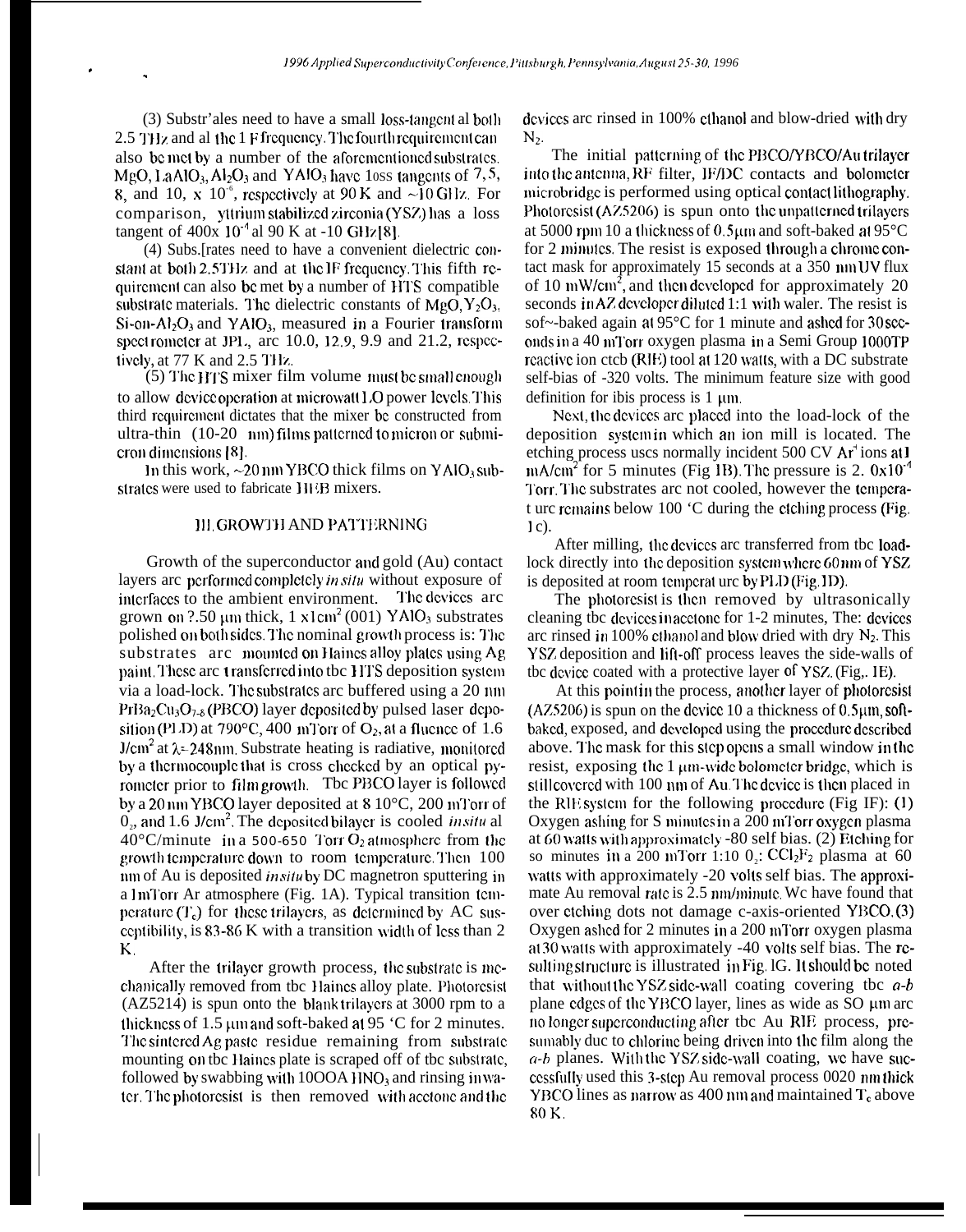(3) Substr'ales need to have a small loss-tangent al both 2.5 THz and al the 1 F frequency. The fourth requirement can also be met by a number of the aforementioned substrates. MgO, LaAlO<sub>3</sub>, Al<sub>2</sub>O<sub>3</sub> and YAlO<sub>3</sub> have 10ss tangents of 7,5, 8, and 10, x 10<sup> $\degree$ </sup>, respectively at 90 K and  $\sim$ 10 GHz. For comparison, yttrium stabilized zirconia (YSZ) has a loss tangent of  $400x \times 10^{-4}$  al 90 K at -10 GHz [8].

(4) Subs. [rates need to have a convenient dielectric constant at both 2.5THz and at the IF frequency. This fifth requirement can also be met by a number of HTS compatible substrate materials. The dielectric constants of  $MgO, Y_2O_3$ ,  $Si$ -on-Al<sub>2</sub>O<sub>3</sub> and YAlO<sub>3</sub>, measured in a Fourier transform spect rometer at JPL, arc 10.0, 12.9, 9.9 and 21.2, respectively, at 77 K and 2.5 THz.

(5) The HTS mixer film volume must be small enough to allow device operation at microwall LO power levels. This third requirement dictates that the mixer be constructed from ultra-thin (10-20 nm) films patterned to micron or submicron dimensions [8].

In this work,  $\sim$ 20 nm YBCO thick films on YAlO<sub>3</sub> substrates were used to fabricate IIEB mixers.

#### **III. GROWTH AND PATTERNING**

Growth of the superconductor and gold (Au) contact layers arc performed completely in situ without exposure of interfaces to the ambient environment. The devices arc grown on  $2.50 \mu m$  thick, 1  $x \text{1 cm}^2 (001)$  YAlO<sub>3</sub> substrates polished on both sides. The nominal growth process is: The substrates arc mounted on Haines alloy plates using Ag paint. These are transferred into the HTS deposition system via a load-lock. The substrates are buffered using a 20 nm  $PrBa_2Cu_3O_{7-8}$  (PBCO) layer deposited by pulsed laser deposition (PLD) at 790 $^{\circ}$ C, 400 mTorr of O<sub>2</sub>, at a fluence of 1.6  $J/cm<sup>2</sup>$  at  $\lambda$ =248nm. Substrate heating is radiative, monitored by a thermocouple that is cross checked by an optical pyrometer prior to film growth. The PBCO layer is followed by a 20 nm YBCO layer deposited at  $810^{\circ}$ C, 200 mTorr of  $0<sub>2</sub>$ , and 1.6 J/cm<sup>2</sup>. The deposited bilayer is cooled *in situ* al  $40^{\circ}$ C/minute in a 500-650 Torr O<sub>2</sub> atmosphere from the growth temperature down to room temperature. Then 100 nm of Au is deposited *insitu* by DC magnetron sputtering in a ImTorr Ar atmosphere (Fig. 1A). Typical transition temperature  $(T_c)$  for these trilayers, as determined by AC susceptibility, is 83-86 K with a transition width of less than 2 Κ.

After the trilayer growth process, the substrate is mechanically removed from the Haines alloy plate. Photoresist (AZ5214) is spun onto the blank trilayers at 3000 rpm to a thickness of 1.5 um and soft-baked at 95 °C for 2 minutes. The sintered Ag paste residue remaining from substrate mounting on the Haines plate is scraped off of the substrate. followed by swabbing with  $1000A$  HNO<sub>3</sub> and rinsing in water. The photoresist is then removed with acctone and the

devices are rinsed in 100% ethanol and blow-dried with dry  $N_2$ .

The initial patterning of the PBCO/YBCO/Au trilayer into the antenna, RF filter, IF/DC contacts and bolometer microbridge is performed using optical contact lithography. Photoresist (AZ5206) is spun onto the unpatterned trilayers at 5000 rpm 10 a thickness of  $0.5 \mu m$  and soft-baked at 95 $^{\circ}$ C for 2 minutes. The resist is exposed through a chrome contact mask for approximately 15 seconds at a 350 nm UV flux of 10 mW/cm<sup>2</sup>, and then developed for approximately 20 seconds in AZ developer diluted 1:1 with waler. The resist is sof~-baked again at 95°C for 1 minute and ashed for 30 seconds in a 40 mTorr oxygen plasma in a Semi Group 1000TP reactive ion ctcb (RIE) tool at 120 watts, with a DC substrate self-bias of -320 volts. The minimum feature size with good definition for ibis process is  $1 \mu m$ .

Next, the devices are placed into the load-lock of the deposition system in which an ion mill is located. The etching process uscs normally incident 500 CV Ar<sup>+</sup> ions at 1 mA/cm<sup>2</sup> for 5 minutes (Fig 1B). The pressure is 2.  $0x10^{-4}$ Torr. The substrates arc not cooled, however the temperat urc remains below 100 °C during the etching process (Fig.  $1c$ ).

After milling, the devices are transferred from the loadlock directly into the deposition system where 60nm of YSZ is deposited at room temperature by PLD (Fig. 1D).

The photoresist is then removed by ultrasonically cleaning the devices in accome for 1-2 minutes, The: devices arc rinsed in 100% ethanol and blow dried with dry  $N_2$ . This YSZ deposition and lift-off process leaves the side-walls of the device coated with a protective layer of YSZ. (Fig., IE).

At this point in the process, another layer of photoresist  $(AZ5206)$  is spun on the device 10 a thickness of 0.5 $\mu$ m, softbaked, exposed, and developed using the procedure described above. The mask for this step opens a small window in the resist, exposing the 1 um-wide bolometer bridge, which is still covered with 100 nm of Au. The device is then placed in the RIE system for the following procedure (Fig IF):  $(1)$ Oxygen ashing for S minutes in a 200 mTorr oxygen plasma at 60 watts with approximately -80 self bias. (2) Etching for so minutes in a 200 mTorr 1:10  $0$ <sub>2</sub>: CCl<sub>2</sub>F<sub>2</sub> plasma at 60 watts with approximately -20 volts self bias. The approximate Au removal rate is 2.5 nm/minute. We have found that over etching dots not damage c-axis-oriented YBCO. (3) Oxygen ashed for 2 minutes in a 200 mTorr oxygen plasma at 30 watts with approximately -40 volts self bias. The rcsulting structure is illustrated in Fig. 1G. It should be noted that without the YSZ side-wall coating covering the  $a-b$ plane edges of the YBCO layer, lines as wide as SO µm arc no longer superconducting after the Au RIE process, presumably duc to chlorine being driven into the film along the  $a-b$  planes. With the YSZ side-wall coating, we have successfully used this 3-step Au removal process 0020 nmthick YBCO lines as narrow as 400 nm and maintained  $T_c$  above  $80K$ .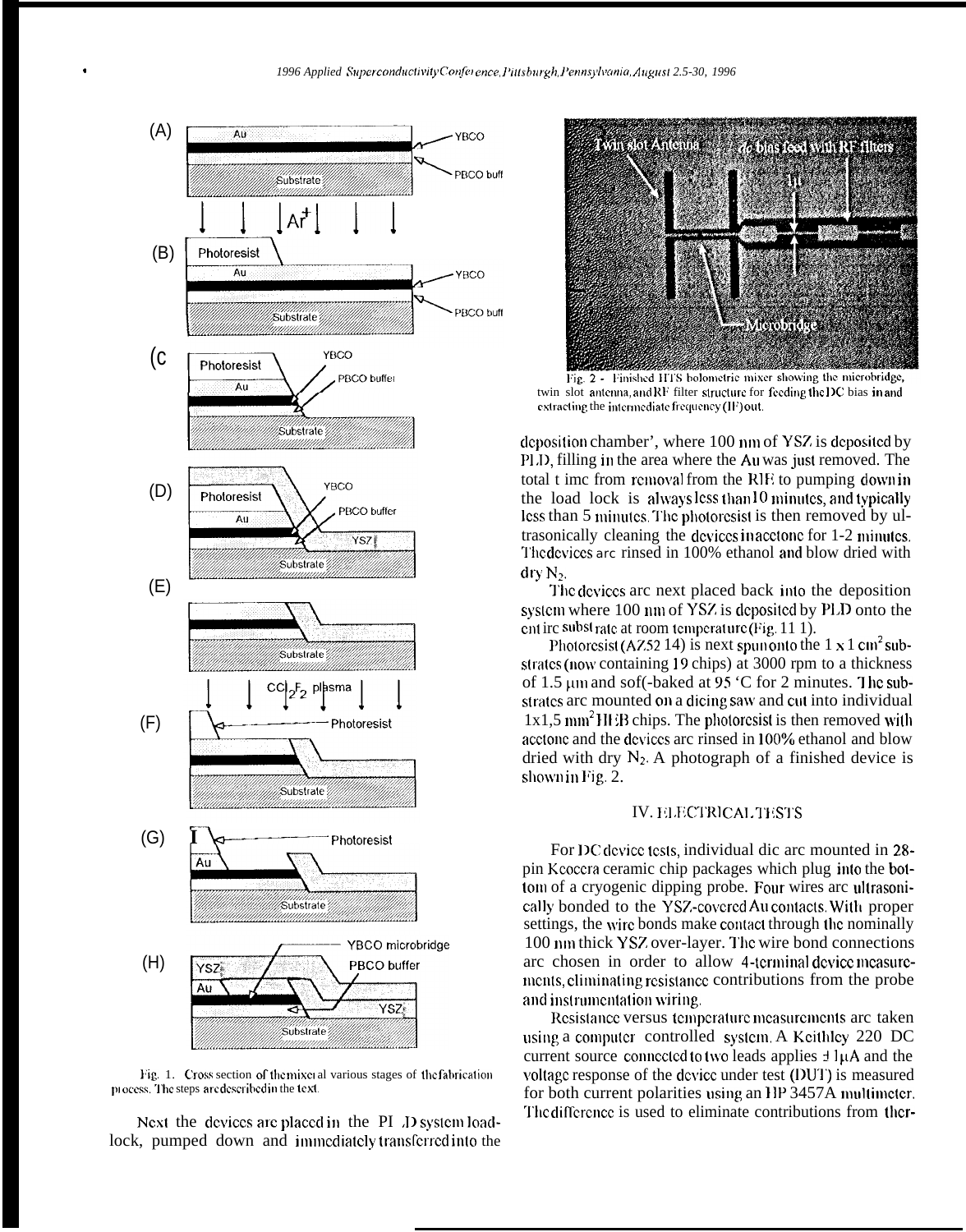

Fig. 1. Cross section of the mixer al various stages of the fabrication process. The steps are described in the text.

Next the devices are placed in the PI *J*D system loadlock, pumped down and immediately transferred into the



Fig. 2 - Finished HTS bolometric mixer showing the microbridge, twin slot antenna, and RF filter structure for feeding the IIC bias in and extracting the intermediate frequency (IF) out.

deposition chamber', where 100 nm of YSZ is deposited by PLD, filling in the area where the Au was just removed. The total t imc from removal from the RIE to pumping down in the load lock is always less than  $10$  minutes, and typically less than 5 minutes. The photoresist is then removed by ultrasonically cleaning the dcviccs in acctonc for 1-2 minulcs. The devices are rinsed in 100% ethanol and blow dried with  $\text{dry N}_2$ .

I'hc dcviccs arc next placed back into the deposition system where 100 nm of YSZ is deposited by PLD onto the ent irc subst rate at room temperature (Fig.  $11 \text{ } 1$ ).

Photorcsist (AZ52 14) is next spun onto the  $1 \times 1$  cm<sup>2</sup> substrates (now containing 19 chips) at 3000 rpm to a thickness of 1.5 µm and sof(-baked at 95 °C for 2 minutes. The substrates arc mounted on a dicing saw and cut into individual  $1x1,5 \text{ mm}^2$  III iB chips. The photorcsist is then removed with acctonc and the devices arc rinsed in 100% ethanol and blow dried with dry  $N_2$ . A photograph of a finished device is shown in Fig. 2.

#### IV. ELECTRICAL TESTS

For DC device tests, individual dic arc mounted in 28pin Kcoccra ceramic chip packages which plug inlo the bottom of a cryogenic dipping probe. Four wires arc ultrasonically bonded to the YSZ-covered Au contacts. With proper settings, the wire bonds make contact through the nominally 100 nm thick YSZ over-layer. The wire bond connections arc chosen in order to allow 4-terminal device measuremcnts, climinaiing resis(ancc contributions from the probe and instrumentation wiring.

Resistance versus temperature measurements arc taken using a computer controlled system. A Keithley 220 DC current source connected to two leads applies  $\pm 1\mu A$  and the voltage response of the device under test (DUT) is measured for both current polarities using an HP 3457A multimeter. The difference is used to eliminate contributions from ther-